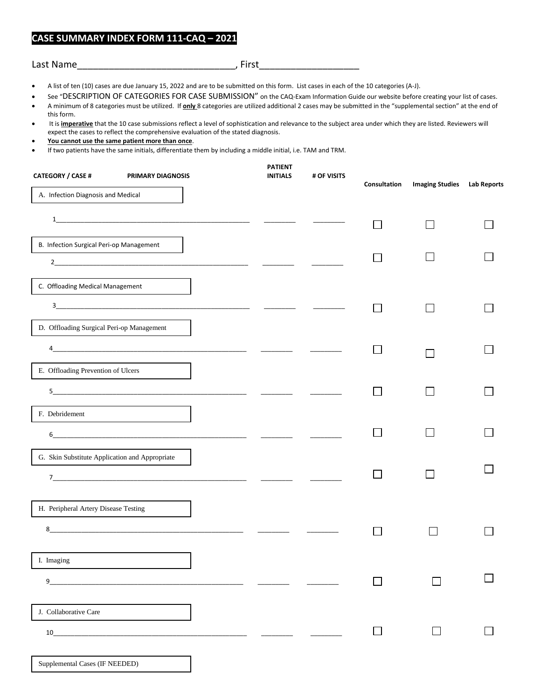## **CASE SUMMARY INDEX FORM 111-CAQ – 20218**

| Last Name | a i nota<br>. |
|-----------|---------------|
|-----------|---------------|

- A list of ten (10) cases are due January 15, 2022 and are to be submitted on this form. List cases in each of the 10 categories (A-J).
- See "DESCRIPTION OF CATEGORIES FOR CASE SUBMISSION" on the CAQ-Exam Information Guide our website before creating your list of cases.
- A minimum of 8 categories must be utilized. If **only** 8 categories are utilized additional 2 cases may be submitted in the "supplemental section" at the end of this form.
- It is **imperative** that the 10 case submissions reflect a level of sophistication and relevance to the subject area under which they are listed. Reviewers will expect the cases to reflect the comprehensive evaluation of the stated diagnosis.
- **You cannot use the same patient more than once**.

Supplemental Cases (IF NEEDED)

• If two patients have the same initials, differentiate them by including a middle initial, i.e. TAM and TRM.

| <b>CATEGORY / CASE #</b>                       | PRIMARY DIAGNOSIS                                                | <b>PATIENT</b><br><b>INITIALS</b> | # OF VISITS | Consultation  | <b>Imaging Studies</b> | <b>Lab Reports</b> |
|------------------------------------------------|------------------------------------------------------------------|-----------------------------------|-------------|---------------|------------------------|--------------------|
| A. Infection Diagnosis and Medical             |                                                                  |                                   |             |               |                        |                    |
|                                                |                                                                  |                                   |             |               |                        |                    |
| B. Infection Surgical Peri-op Management       |                                                                  |                                   |             |               |                        |                    |
|                                                |                                                                  |                                   |             |               |                        |                    |
| C. Offloading Medical Management               |                                                                  |                                   |             |               |                        |                    |
|                                                |                                                                  |                                   |             |               |                        |                    |
| D. Offloading Surgical Peri-op Management      |                                                                  |                                   |             |               |                        |                    |
| 4                                              |                                                                  |                                   |             |               |                        |                    |
| E. Offloading Prevention of Ulcers             |                                                                  |                                   |             |               |                        |                    |
|                                                |                                                                  |                                   |             |               |                        |                    |
| F. Debridement                                 |                                                                  |                                   |             |               |                        |                    |
| 6                                              |                                                                  |                                   |             |               |                        |                    |
| G. Skin Substitute Application and Appropriate |                                                                  |                                   |             |               |                        |                    |
|                                                |                                                                  |                                   |             |               |                        |                    |
| H. Peripheral Artery Disease Testing           |                                                                  |                                   |             |               |                        |                    |
| 8                                              | <u> 1980 - Jan James James Barnett, fransk politik (d. 1980)</u> |                                   |             |               |                        |                    |
|                                                |                                                                  |                                   |             |               |                        |                    |
| I. Imaging                                     |                                                                  |                                   |             |               |                        |                    |
| 9                                              |                                                                  |                                   |             | $\mathcal{L}$ |                        |                    |
| J. Collaborative Care                          |                                                                  |                                   |             |               |                        |                    |
| 10                                             |                                                                  |                                   |             | $\Box$        |                        |                    |
|                                                |                                                                  |                                   |             |               |                        |                    |